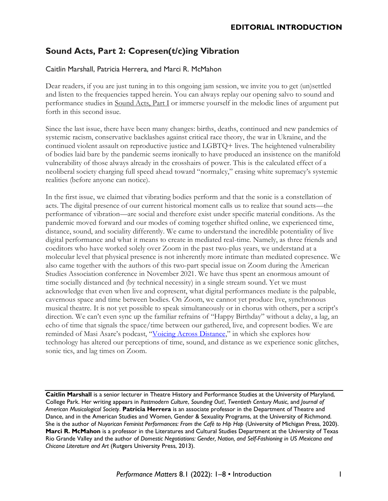# **Sound Acts, Part 2: Copresen(t/c)ing Vibration**

#### Caitlin Marshall, Patricia Herrera, and Marci R. McMahon

Dear readers, if you are just tuning in to this ongoing jam session, we invite you to get (un)settled and listen to the frequencies tapped herein. You can always replay our opening salvo to sound and performance studies in [Sound Acts, Part I](https://performancematters-thejournal.com/index.php/pm/issue/view/17) or immerse yourself in the melodic lines of argument put forth in this second issue.

Since the last issue, there have been many changes: births, deaths, continued and new pandemics of systemic racism, conservative backlashes against critical race theory, the war in Ukraine, and the continued violent assault on reproductive justice and LGBTQ+ lives. The heightened vulnerability of bodies laid bare by the pandemic seems ironically to have produced an insistence on the manifold vulnerability of those always already in the crosshairs of power. This is the calculated effect of a neoliberal society charging full speed ahead toward "normalcy," erasing white supremacy's systemic realities (before anyone can notice).

In the first issue, we claimed that vibrating bodies perform and that the sonic is a constellation of acts. The digital presence of our current historical moment calls us to realize that sound acts—the performance of vibration—are social and therefore exist under specific material conditions. As the pandemic moved forward and our modes of coming together shifted online, we experienced time, distance, sound, and sociality differently. We came to understand the incredible potentiality of live digital performance and what it means to create in mediated real-time. Namely, as three friends and coeditors who have worked solely over Zoom in the past two-plus years, we understand at a molecular level that physical presence is not inherently more intimate than mediated copresence. We also came together with the authors of this two-part special issue on Zoom during the American Studies Association conference in November 2021. We have thus spent an enormous amount of time socially distanced and (by technical necessity) in a single stream sound. Yet we must acknowledge that even when live and copresent, what digital performances mediate is the palpable, cavernous space and time between bodies. On Zoom, we cannot yet produce live, synchronous musical theatre. It is not yet possible to speak simultaneously or in chorus with others, per a script's direction. We can't even sync up the familiar refrains of "Happy Birthday" without a delay, a lag, an echo of time that signals the space/time between our gathered, live, and copresent bodies. We are reminded of Masi Asare's podcast, "[Voicing Across Distance](https://masiasare.com/podcast)," in which she explores how technology has altered our perceptions of time, sound, and distance as we experience sonic glitches, sonic tics, and lag times on Zoom.

**Caitlin Marshall** is a senior lecturer in Theatre History and Performance Studies at the University of Maryland, College Park. Her writing appears in *Postmodern Culture*, *Sounding Out!*, *Twentieth Century Music*, and *Journal of American Musicological Society*. **Patricia Herrera** is an associate professor in the Department of Theatre and Dance, and in the American Studies and Women, Gender & Sexuality Programs, at the University of Richmond. She is the author of *Nuyorican Feminist Performances: From the Café to Hip Hop (University of Michigan Press, 2020).* **Marci R. McMahon** is a professor in the Literatures and Cultural Studies Department at the University of Texas Rio Grande Valley and the author of *Domestic Negotiations: Gender, Nation, and Self-Fashioning in US Mexicana and Chicana Literature and Art* (Rutgers University Press, 2013).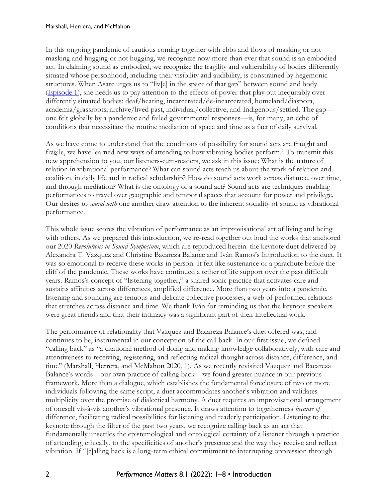#### Marshall, Herrera, and McMahon

In this ongoing pandemic of cautious coming together with ebbs and flows of masking or not masking and hugging or not hugging, we recognize now more than ever that sound is an embodied act. In claiming sound as embodied, we recognize the fragility and vulnerability of bodies differently situated whose personhood, including their visibility and audibility, is constrained by hegemonic structures. When Asare urges us to "liv[e] in the space of that gap" between sound and body [\(Episode 1\)](https://soundcloud.com/voicingacrossdistance/episode-01?utm_source=clipboard&utm_campaign=wtshare&utm_medium=widget&utm_content=https%253A%252F%252Fsoundcloud.com%252Fvoicingacrossdistance%252Fepisode-01), she heeds us to pay attention to the effects of power that play out inequitably over differently situated bodies: deaf/hearing, incarcerated/de-incarcerated, homeland/diaspora, academia/grassroots, archive/lived past, individual/collective, and Indigenous/settled. The gap one felt globally by a pandemic and failed governmental responses—is, for many, an echo of conditions that necessitate the routine mediation of space and time as a fact of daily survival.

As we have come to understand that the conditions of possibility for sound acts are fraught and fragile, we have learned new ways of attending to how vibrating bodies perform.<sup>1</sup> To transmit this new apprehension to you, our listeners-cum-readers, we ask in this issue: What is the nature of relation in vibrational performance? What can sound acts teach us about the work of relation and coalition, in daily life and in radical scholarship? How do sound acts work across distance, over time, and through mediation? What is the ontology of a sound act? Sound acts are techniques enabling performances to travel over geographic and temporal spaces that account for power and privilege. Our desires to *sound with* one another draw attention to the inherent sociality of sound as vibrational performance.

This whole issue scores the vibration of performance as an improvisational art of living and being with others. As we prepared this introduction, we re-read together out loud the works that anchored our 2020 *Revolutions in Sound Symposium*, which are reproduced herein: the keynote duet delivered by Alexandra T. Vazquez and Christine Bacareza Balance and Iván Ramos's Introduction to the duet. It was so emotional to receive these works in person. It felt like sustenance or a parachute before the cliff of the pandemic. These works have continued a tether of life support over the past difficult years. Ramos's concept of "listening together," a shared sonic practice that activates care and sustains affinities across differences, amplified difference. More than two years into a pandemic, listening and sounding are tenuous and delicate collective processes, a web of performed relations that stretches across distance and time. We thank Iván for reminding us that the keynote speakers were great friends and that their intimacy was a significant part of their intellectual work.

The performance of relationality that Vazquez and Bacareza Balance's duet offered was, and continues to be, instrumental in our conception of the call back. In our first issue, we defined "calling back" as "a citational method of doing and making knowledge collaboratively, with care and attentiveness to receiving, registering, and reflecting radical thought across distance, difference, and time" (Marshall, Herrera, and McMahon 2020, 1). As we recently revisited Vazquez and Bacareza Balance's words—our own practice of calling back—we found greater nuance in our previous framework. More than a dialogue, which establishes the fundamental foreclosure of two or more individuals following the same script, a duet accommodates another's vibration and validates multiplicity over the promise of dialectical harmony. A duet requires an improvisational arrangement of oneself vis-à-vis another's vibrational presence. It draws attention to togetherness *because of*  difference, facilitating radical possibilities for listening and readerly participation. Listening to the keynote through the filter of the past two years, we recognize calling back as an act that fundamentally unsettles the epistemological and ontological certainty of a listener through a practice of attending, ethically, to the specificities of another's presence and the way they receive and reflect vibration. If "[c]alling back is a long-term ethical commitment to interrupting oppression through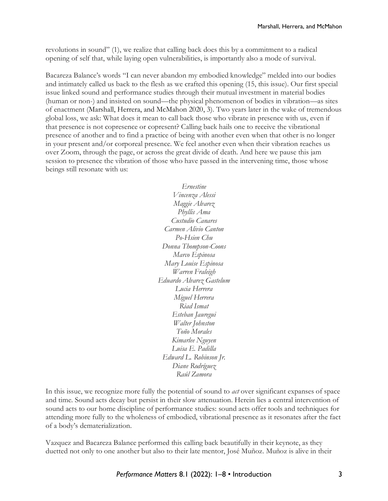revolutions in sound" (1), we realize that calling back does this by a commitment to a radical opening of self that, while laying open vulnerabilities, is importantly also a mode of survival.

Bacareza Balance's words "I can never abandon my embodied knowledge" melded into our bodies and intimately called us back to the flesh as we crafted this opening (15, this issue). Our first special issue linked sound and performance studies through their mutual investment in material bodies (human or non-) and insisted on sound—the physical phenomenon of bodies in vibration—as sites of enactment (Marshall, Herrera, and McMahon 2020, 3). Two years later in the wake of tremendous global loss, we ask: What does it mean to call back those who vibrate in presence with us, even if that presence is not copresence or copresent? Calling back hails one to receive the vibrational presence of another and to find a practice of being with another even when that other is no longer in your present and/or corporeal presence. We feel another even when their vibration reaches us over Zoom, through the page, or across the great divide of death. And here we pause this jam session to presence the vibration of those who have passed in the intervening time, those whose beings still resonate with us:

> *Ernestine Vincenza Alessi Maggie Alvarez Phyllis Ama Custudio Canares Carmen Alivio Canton Po-Hsien Chu Donna Thompson-Coons Marco Espinosa Mary Louise Espinosa Warren Fraleigh Eduardo Alvarez Gastelum Lucia Herrera Miguel Herrera Riad Ismat Esteban Jauregui Walter Johnston Toño Morales Kimarlee Nguyen Luisa E. Padilla Edward L. Robinson Jr. Diane Rodríguez Raúl Zamora*

In this issue, we recognize more fully the potential of sound to *act* over significant expanses of space and time. Sound acts decay but persist in their slow attenuation. Herein lies a central intervention of sound acts to our home discipline of performance studies: sound acts offer tools and techniques for attending more fully to the wholeness of embodied, vibrational presence as it resonates after the fact of a body's dematerialization.

Vazquez and Bacareza Balance performed this calling back beautifully in their keynote, as they duetted not only to one another but also to their late mentor, José Muñoz. Muñoz is alive in their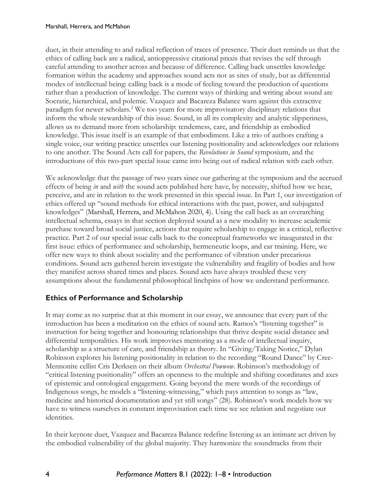duet, in their attending to and radical reflection of traces of presence. Their duet reminds us that the ethics of calling back are a radical, antioppressive citational praxis that revises the self through careful attending to another across and because of difference. Calling back unsettles knowledge formation within the academy and approaches sound acts not as sites of study, but as differential modes of intellectual being: calling back is a mode of feeling toward the production of questions rather than a production of knowledge. The current ways of thinking and writing about sound are Socratic, hierarchical, and polemic. Vazquez and Bacareza Balance warn against this extractive paradigm for newer scholars.<sup>2</sup> We too yearn for more improvisatory disciplinary relations that inform the whole stewardship of this issue. Sound, in all its complexity and analytic slipperiness, allows us to demand more from scholarship: tenderness, care, and friendship as embodied knowledge. This issue itself is an example of that embodiment. Like a trio of authors crafting a single voice, our writing practice unsettles our listening positionality and acknowledges our relations to one another. The Sound Acts call for papers, the *Revolutions in Sound* symposium, and the introductions of this two-part special issue came into being out of radical relation with each other.

We acknowledge that the passage of two years since our gathering at the symposium and the accrued effects of being *in* and *with* the sound acts published here have, by necessity, shifted how we hear, perceive, and are in relation to the work presented in this special issue. In Part 1, our investigation of ethics offered up "sound methods for ethical interactions with the past, power, and subjugated knowledges" (Marshall, Herrera, and McMahon 2020, 4). Using the call back as an overarching intellectual schema, essays in that section deployed sound as a new modality to increase academic purchase toward broad social justice, actions that require scholarship to engage in a critical, reflective practice. Part 2 of our special issue calls back to the conceptual frameworks we inaugurated in the first issue: ethics of performance and scholarship, hermeneutic loops, and ear training. Here, we offer new ways to think about sociality and the performance of vibration under precarious conditions. Sound acts gathered herein investigate the vulnerability and fragility of bodies and how they manifest across shared times and places. Sound acts have always troubled these very assumptions about the fundamental philosophical linchpins of how we understand performance.

# **Ethics of Performance and Scholarship**

It may come as no surprise that at this moment in our essay, we announce that every part of the introduction has been a meditation on the ethics of sound acts. Ramos's "listening together" is instruction for being together and honouring relationships that thrive despite social distance and differential temporalities. His work improvises mentoring as a mode of intellectual inquiry, scholarship as a structure of care, and friendship as theory. In "Giving/Taking Notice," Dylan Robinson explores his listening positionality in relation to the recording "Round Dance" by Cree-Mennonite cellist Cris Derksen on their album *Orchestral Powwow*. Robinson's methodology of "critical listening positionality" offers an openness to the multiple and shifting coordinates and axes of epistemic and ontological engagement. Going beyond the mere words of the recordings of Indigenous songs, he models a "listening-witnessing," which pays attention to songs as "law, medicine and historical documentation and yet still songs" (28). Robinson's work models how we have to witness ourselves in constant improvisation each time we see relation and negotiate our identities.

In their keynote duet, Vazquez and Bacareza Balance redefine listening as an intimate act driven by the embodied vulnerability of the global majority. They harmonize the soundtracks from their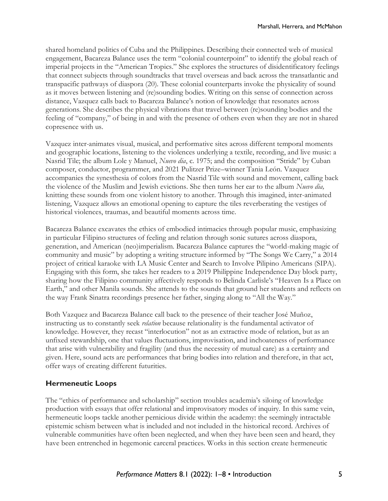shared homeland politics of Cuba and the Philippines. Describing their connected web of musical engagement, Bacareza Balance uses the term "colonial counterpoint" to identify the global reach of imperial projects in the "American Tropics." She explores the structures of disidentificatory feelings that connect subjects through soundtracks that travel overseas and back across the transatlantic and transpacific pathways of diaspora (20). These colonial counterparts invoke the physicality of sound as it moves between listening and (re)sounding bodies. Writing on this sense of connection across distance, Vazquez calls back to Bacareza Balance's notion of knowledge that resonates across generations. She describes the physical vibrations that travel between (re)sounding bodies and the feeling of "company," of being in and with the presence of others even when they are not in shared copresence with us.

Vazquez inter-animates visual, musical, and performative sites across different temporal moments and geographic locations, listening to the violences underlying a textile, recording, and live music: a Nasrid Tile; the album Lole y Manuel, *Nuevo dia*, c. 1975; and the composition "Stride" by Cuban composer, conductor, programmer, and 2021 Pulitzer Prize–winner Tania León. Vazquez accompanies the synesthesia of colors from the Nasrid Tile with sound and movement, calling back the violence of the Muslim and Jewish evictions. She then turns her ear to the album *Nuevo dia,*  knitting these sounds from one violent history to another. Through this imagined, inter-animated listening, Vazquez allows an emotional opening to capture the tiles reverberating the vestiges of historical violences, traumas, and beautiful moments across time.

Bacareza Balance excavates the ethics of embodied intimacies through popular music, emphasizing in particular Filipino structures of feeling and relation through sonic sutures across diaspora, generation, and American (neo)imperialism. Bacareza Balance captures the "world-making magic of community and music" by adopting a writing structure informed by "The Songs We Carry," a 2014 project of critical karaoke with LA Music Center and Search to Involve Pilipino Americans (SIPA). Engaging with this form, she takes her readers to a 2019 Philippine Independence Day block party, sharing how the Filipino community affectively responds to Belinda Carlisle's "Heaven Is a Place on Earth," and other Manila sounds. She attends to the sounds that ground her students and reflects on the way Frank Sinatra recordings presence her father, singing along to "All the Way."

Both Vazquez and Bacareza Balance call back to the presence of their teacher José Muñoz, instructing us to constantly seek *relation* because relationality is the fundamental activator of knowledge. However, they recast "interlocution" not as an extractive mode of relation, but as an unfixed stewardship, one that values fluctuations, improvisation, and inchoateness of performance that arise with vulnerability and fragility (and thus the necessity of mutual care) as a certainty and given. Here, sound acts are performances that bring bodies into relation and therefore, in that act, offer ways of creating different futurities.

### **Hermeneutic Loops**

The "ethics of performance and scholarship" section troubles academia's siloing of knowledge production with essays that offer relational and improvisatory modes of inquiry. In this same vein, hermeneutic loops tackle another pernicious divide within the academy: the seemingly intractable epistemic schism between what is included and not included in the historical record. Archives of vulnerable communities have often been neglected, and when they have been seen and heard, they have been entrenched in hegemonic carceral practices. Works in this section create hermeneutic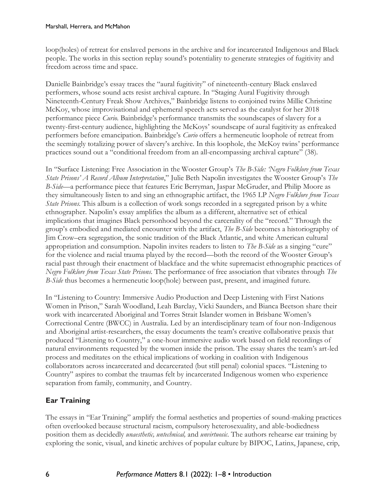loop(holes) of retreat for enslaved persons in the archive and for incarcerated Indigenous and Black people. The works in this section replay sound's potentiality to generate strategies of fugitivity and freedom across time and space.

Danielle Bainbridge's essay traces the "aural fugitivity" of nineteenth-century Black enslaved performers, whose sound acts resist archival capture. In "Staging Aural Fugitivity through Nineteenth-Century Freak Show Archives," Bainbridge listens to conjoined twins Millie Christine McKoy, whose improvisational and ephemeral speech acts served as the catalyst for her 2018 performance piece *Curio*. Bainbridge's performance transmits the soundscapes of slavery for a twenty-first-century audience, highlighting the McKoys' soundscape of aural fugitivity as enfreaked performers before emancipation. Bainbridge's *Curio* offers a hermeneutic loophole of retreat from the seemingly totalizing power of slavery's archive. In this loophole, the McKoy twins' performance practices sound out a "conditional freedom from an all-encompassing archival capture" (38).

In "Surface Listening: Free Association in the Wooster Group's *The B-Side: 'Negro Folklore from Texas State Prisons' A Record Album Interpretation*," Julie Beth Napolin investigates the Wooster Group's *The B-Side—*a performance piece that features Eric Berryman, Jaspar McGruder, and Philip Moore as they simultaneously listen to and sing an ethnographic artifact, the 1965 LP *Negro Folklore from Texas State Prisons*. This album is a collection of work songs recorded in a segregated prison by a white ethnographer. Napolin's essay amplifies the album as a different, alternative set of ethical implications that imagines Black personhood beyond the carcerality of the "record." Through the group's embodied and mediated encounter with the artifact, *The B-Side* becomes a historiography of Jim Crow–era segregation, the sonic tradition of the Black Atlantic, and white American cultural appropriation and consumption. Napolin invites readers to listen to *The B-Side* as a singing "cure" for the violence and racial trauma played by the record—both the record of the Wooster Group's racial past through their enactment of blackface and the white supremacist ethnographic practices of *Negro Folklore from Texas State Prisons*. The performance of free association that vibrates through *The B-Side* thus becomes a hermeneutic loop(hole) between past, present, and imagined future.

In "Listening to Country: Immersive Audio Production and Deep Listening with First Nations Women in Prison," Sarah Woodland, Leah Barclay, Vicki Saunders, and Bianca Beetson share their work with incarcerated Aboriginal and Torres Strait Islander women in Brisbane Women's Correctional Centre (BWCC) in Australia. Led by an interdisciplinary team of four non-Indigenous and Aboriginal artist-researchers, the essay documents the team's creative collaborative praxis that produced "Listening to Country," a one-hour immersive audio work based on field recordings of natural environments requested by the women inside the prison. The essay shares the team's art-led process and meditates on the ethical implications of working in coalition with Indigenous collaborators across incarcerated and decarcerated (but still penal) colonial spaces. "Listening to Country" aspires to combat the traumas felt by incarcerated Indigenous women who experience separation from family, community, and Country.

# **Ear Training**

The essays in "Ear Training" amplify the formal aesthetics and properties of sound-making practices often overlooked because structural racism, compulsory heterosexuality, and able-bodiedness position them as decidedly *unaesthetic, untechnical,* and *unvirtuosic*. The authors rehearse ear training by exploring the sonic, visual, and kinetic archives of popular culture by BIPOC, Latinx, Japanese, crip,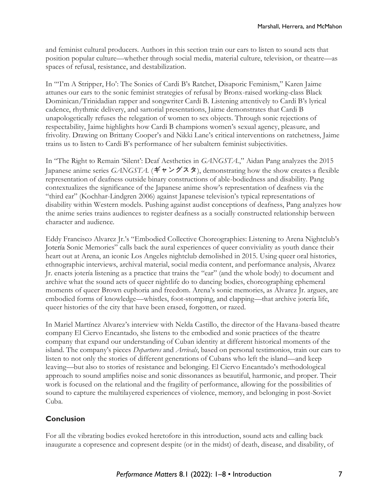and feminist cultural producers. Authors in this section train our ears to listen to sound acts that position popular culture—whether through social media, material culture, television, or theatre—as spaces of refusal, resistance, and destabilization.

In "'I'm A Stripper, Ho': The Sonics of Cardi B's Ratchet, Disaporic Feminism," Karen Jaime attunes our ears to the sonic feminist strategies of refusal by Bronx-raised working-class Black Dominican/Trinidadian rapper and songwriter Cardi B. Listening attentively to Cardi B's lyrical cadence, rhythmic delivery, and sartorial presentations, Jaime demonstrates that Cardi B unapologetically refuses the relegation of women to sex objects. Through sonic rejections of respectability, Jaime highlights how Cardi B champions women's sexual agency, pleasure, and frivolity. Drawing on Brittany Cooper's and Nikki Lane's critical interventions on ratchetness, Jaime trains us to listen to Cardi B's performance of her subaltern feminist subjectivities.

In "The Right to Remain 'Silent': Deaf Aesthetics in *GANGSTA.*," Aidan Pang analyzes the 2015 Japanese anime series *GANGSTA*. (ギャングスタ), demonstrating how the show creates a flexible representation of deafness outside binary constructions of able-bodiedness and disability. Pang contextualizes the significance of the Japanese anime show's representation of deafness via the "third ear" (Kochhar-Lindgren 2006) against Japanese television's typical representations of disability within Western models. Pushing against audist conceptions of deafness, Pang analyzes how the anime series trains audiences to register deafness as a socially constructed relationship between character and audience.

Eddy Francisco Alvarez Jr.'s "Embodied Collective Choreographies: Listening to Arena Nightclub's Jotería Sonic Memories" calls back the aural experiences of queer conviviality as youth dance their heart out at Arena, an iconic Los Angeles nightclub demolished in 2015. Using queer oral histories, ethnographic interviews, archival material, social media content, and performance analysis, Alvarez Jr. enacts jotería listening as a practice that trains the "ear" (and the whole body) to document and archive what the sound acts of queer nightlife do to dancing bodies, choreographing ephemeral moments of queer Brown euphoria and freedom. Arena's sonic memories, as Alvarez Jr. argues, are embodied forms of knowledge—whistles, foot-stomping, and clapping—that archive jotería life, queer histories of the city that have been erased, forgotten, or razed.

In Mariel Martínez Alvarez's interview with Nelda Castillo, the director of the Havana-based theatre company El Ciervo Encantado, she listens to the embodied and sonic practices of the theatre company that expand our understanding of Cuban identity at different historical moments of the island. The company's pieces *Departures* and *Arrivals*, based on personal testimonios, train our ears to listen to not only the stories of different generations of Cubans who left the island—and keep leaving—but also to stories of resistance and belonging. El Ciervo Encantado's methodological approach to sound amplifies noise and sonic dissonances as beautiful, harmonic, and proper. Their work is focused on the relational and the fragility of performance, allowing for the possibilities of sound to capture the multilayered experiences of violence, memory, and belonging in post-Soviet Cuba.

### **Conclusion**

For all the vibrating bodies evoked heretofore in this introduction, sound acts and calling back inaugurate a copresence and copresent despite (or in the midst) of death, disease, and disability, of